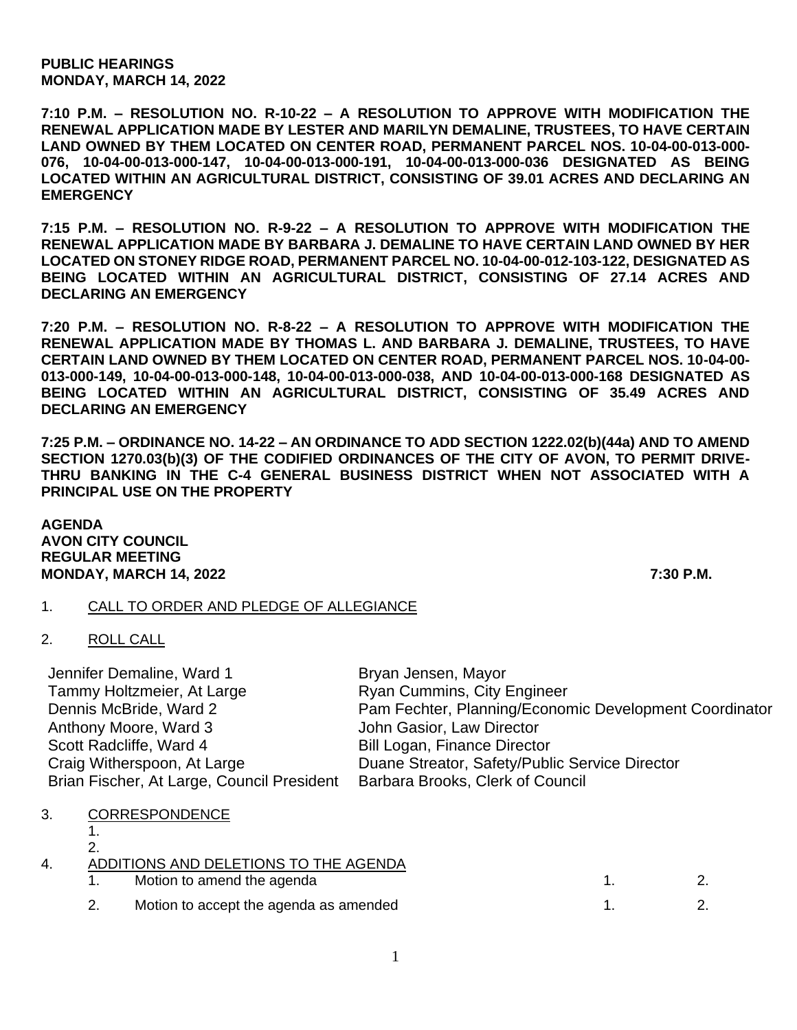**PUBLIC HEARINGS MONDAY, MARCH 14, 2022**

**7:10 P.M. – RESOLUTION NO. R-10-22 – A RESOLUTION TO APPROVE WITH MODIFICATION THE RENEWAL APPLICATION MADE BY LESTER AND MARILYN DEMALINE, TRUSTEES, TO HAVE CERTAIN LAND OWNED BY THEM LOCATED ON CENTER ROAD, PERMANENT PARCEL NOS. 10-04-00-013-000- 076, 10-04-00-013-000-147, 10-04-00-013-000-191, 10-04-00-013-000-036 DESIGNATED AS BEING LOCATED WITHIN AN AGRICULTURAL DISTRICT, CONSISTING OF 39.01 ACRES AND DECLARING AN EMERGENCY**

**7:15 P.M. – RESOLUTION NO. R-9-22 – A RESOLUTION TO APPROVE WITH MODIFICATION THE RENEWAL APPLICATION MADE BY BARBARA J. DEMALINE TO HAVE CERTAIN LAND OWNED BY HER LOCATED ON STONEY RIDGE ROAD, PERMANENT PARCEL NO. 10-04-00-012-103-122, DESIGNATED AS BEING LOCATED WITHIN AN AGRICULTURAL DISTRICT, CONSISTING OF 27.14 ACRES AND DECLARING AN EMERGENCY**

**7:20 P.M. – RESOLUTION NO. R-8-22 – A RESOLUTION TO APPROVE WITH MODIFICATION THE RENEWAL APPLICATION MADE BY THOMAS L. AND BARBARA J. DEMALINE, TRUSTEES, TO HAVE CERTAIN LAND OWNED BY THEM LOCATED ON CENTER ROAD, PERMANENT PARCEL NOS. 10-04-00- 013-000-149, 10-04-00-013-000-148, 10-04-00-013-000-038, AND 10-04-00-013-000-168 DESIGNATED AS BEING LOCATED WITHIN AN AGRICULTURAL DISTRICT, CONSISTING OF 35.49 ACRES AND DECLARING AN EMERGENCY**

**7:25 P.M. – ORDINANCE NO. 14-22 – AN ORDINANCE TO ADD SECTION 1222.02(b)(44a) AND TO AMEND SECTION 1270.03(b)(3) OF THE CODIFIED ORDINANCES OF THE CITY OF AVON, TO PERMIT DRIVE-THRU BANKING IN THE C-4 GENERAL BUSINESS DISTRICT WHEN NOT ASSOCIATED WITH A PRINCIPAL USE ON THE PROPERTY**

**AGENDA AVON CITY COUNCIL REGULAR MEETING MONDAY, MARCH 14, 2022 7:30 P.M.**

## 1. CALL TO ORDER AND PLEDGE OF ALLEGIANCE

2. ROLL CALL

| Jennifer Demaline, Ward 1                  | Bryan Jensen, Mayor                                    |
|--------------------------------------------|--------------------------------------------------------|
| Tammy Holtzmeier, At Large                 | <b>Ryan Cummins, City Engineer</b>                     |
| Dennis McBride, Ward 2                     | Pam Fechter, Planning/Economic Development Coordinator |
| Anthony Moore, Ward 3                      | John Gasior, Law Director                              |
| Scott Radcliffe, Ward 4                    | <b>Bill Logan, Finance Director</b>                    |
| Craig Witherspoon, At Large                | Duane Streator, Safety/Public Service Director         |
| Brian Fischer, At Large, Council President | Barbara Brooks, Clerk of Council                       |

## 3. CORRESPONDENCE

1. 2.

| 4. | ADDITIONS AND DELETIONS TO THE AGENDA |
|----|---------------------------------------|

| Motion to amend the agenda             |  |
|----------------------------------------|--|
| Motion to accept the agenda as amended |  |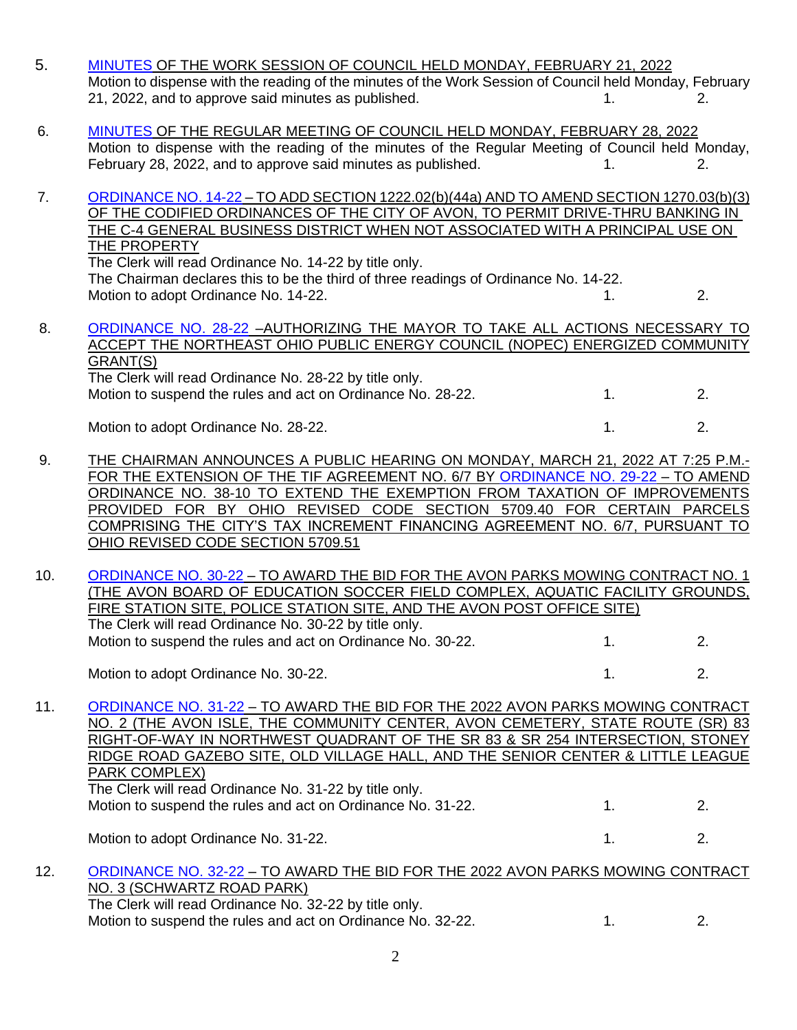- 5. [MINUTES](https://www.cityofavon.com/AgendaCenter/ViewFile/Minutes/_02212022-1067) OF THE WORK SESSION OF COUNCIL HELD MONDAY, FEBRUARY 21, 2022 Motion to dispense with the reading of the minutes of the Work Session of Council held Monday, February 21, 2022, and to approve said minutes as published. 1. 2.
- 6. [MINUTES](https://www.cityofavon.com/AgendaCenter/ViewFile/Minutes/_02282022-1069) OF THE REGULAR MEETING OF COUNCIL HELD MONDAY, FEBRUARY 28, 2022 Motion to dispense with the reading of the minutes of the Regular Meeting of Council held Monday, February 28, 2022, and to approve said minutes as published. 1. 1. 2.
- 7. [ORDINANCE NO. 14-22](https://www.cityofavon.com/DocumentCenter/View/7612/Ordinance-No-14-22-Drive-thru-Teller-Legislation) TO ADD SECTION 1222.02(b)(44a) AND TO AMEND SECTION 1270.03(b)(3) OF THE CODIFIED ORDINANCES OF THE CITY OF AVON, TO PERMIT DRIVE-THRU BANKING IN THE C-4 GENERAL BUSINESS DISTRICT WHEN NOT ASSOCIATED WITH A PRINCIPAL USE ON THE PROPERTY The Clerk will read Ordinance No. 14-22 by title only.

The Chairman declares this to be the third of three readings of Ordinance No. 14-22. Motion to adopt Ordinance No. 14-22. 1. 2.

## 8. [ORDINANCE NO. 28-22](https://www.cityofavon.com/DocumentCenter/View/7650/Ordinance-No-28-22---NOPEC-COMMUNITY-GRANT) –AUTHORIZING THE MAYOR TO TAKE ALL ACTIONS NECESSARY TO ACCEPT THE NORTHEAST OHIO PUBLIC ENERGY COUNCIL (NOPEC) ENERGIZED COMMUNITY GRANT(S) The Clerk will read Ordinance No. 28-22 by title only.

Motion to suspend the rules and act on Ordinance No. 28-22. 1. 2. 2. Motion to adopt Ordinance No. 28-22. 1. 2.

9. THE CHAIRMAN ANNOUNCES A PUBLIC HEARING ON MONDAY, MARCH 21, 2022 AT 7:25 P.M.- FOR THE EXTENSION OF THE TIF AGREEMENT NO. 6/7 BY [ORDINANCE NO. 29-22](https://www.cityofavon.com/DocumentCenter/View/7681/Ordinance-No-29-22-TIF-6-7-extended-3-11-22) – TO AMEND ORDINANCE NO. 38-10 TO EXTEND THE EXEMPTION FROM TAXATION OF IMPROVEMENTS PROVIDED FOR BY OHIO REVISED CODE SECTION 5709.40 FOR CERTAIN PARCELS COMPRISING THE CITY'S TAX INCREMENT FINANCING AGREEMENT NO. 6/7, PURSUANT TO OHIO REVISED CODE SECTION 5709.51

10. [ORDINANCE NO. 30-22](https://www.cityofavon.com/DocumentCenter/View/7651/Ordinance-No-30-22---Award-Bid---Mowing-Contract-No-1) – TO AWARD THE BID FOR THE AVON PARKS MOWING CONTRACT NO. 1 (THE AVON BOARD OF EDUCATION SOCCER FIELD COMPLEX, AQUATIC FACILITY GROUNDS, FIRE STATION SITE, POLICE STATION SITE, AND THE AVON POST OFFICE SITE) The Clerk will read Ordinance No. 30-22 by title only. Motion to suspend the rules and act on Ordinance No. 30-22. 1. 2.

Motion to adopt Ordinance No. 30-22.

11. [ORDINANCE NO. 31-22](https://www.cityofavon.com/DocumentCenter/View/7652/Ordinance-No-31-22---Award-Bid---Mowing-Contract-No-2) – TO AWARD THE BID FOR THE 2022 AVON PARKS MOWING CONTRACT NO. 2 (THE AVON ISLE, THE COMMUNITY CENTER, AVON CEMETERY, STATE ROUTE (SR) 83 RIGHT-OF-WAY IN NORTHWEST QUADRANT OF THE SR 83 & SR 254 INTERSECTION, STONEY RIDGE ROAD GAZEBO SITE, OLD VILLAGE HALL, AND THE SENIOR CENTER & LITTLE LEAGUE PARK COMPLEX) The Clerk will read Ordinance No. 31-22 by title only. Motion to suspend the rules and act on Ordinance No. 31-22. 1. 2.

Motion to adopt Ordinance No. 31-22.

## 12. [ORDINANCE NO. 32-22](https://www.cityofavon.com/DocumentCenter/View/7653/Ordinance-No-32-22---Award-Bid---Mowing-Contract-No-3) – TO AWARD THE BID FOR THE 2022 AVON PARKS MOWING CONTRACT NO. 3 (SCHWARTZ ROAD PARK) The Clerk will read Ordinance No. 32-22 by title only. Motion to suspend the rules and act on Ordinance No. 32-22. 1. 2.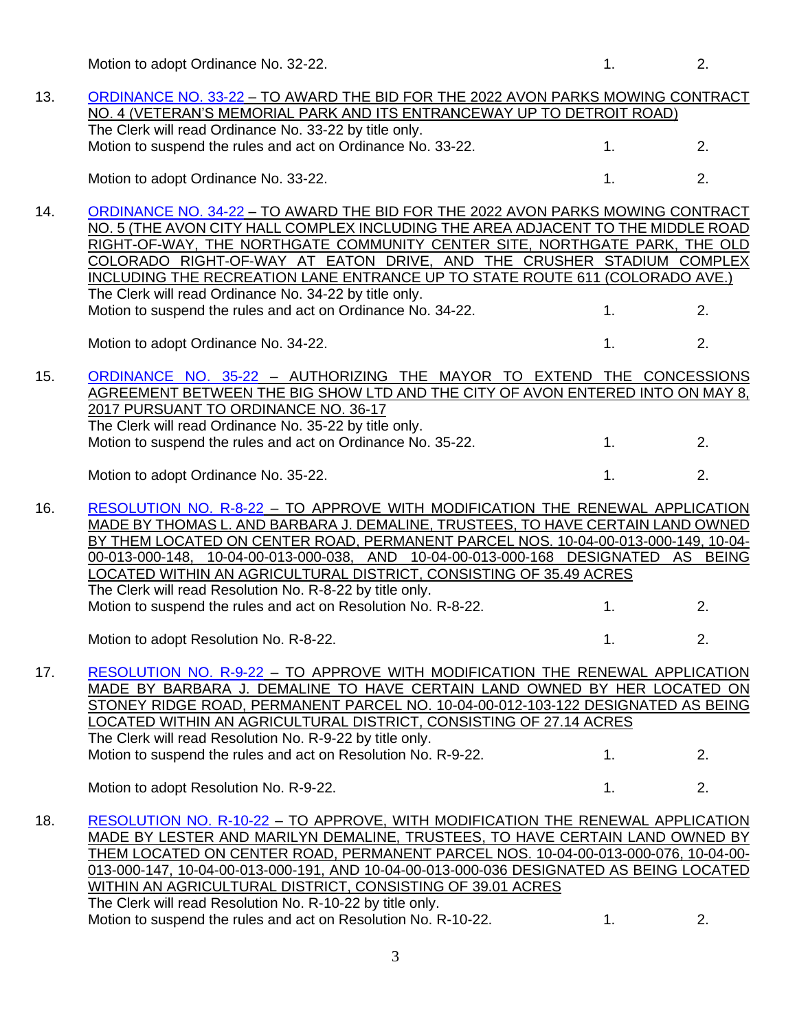Motion to adopt Ordinance No. 32-22. 1. 2.

| 13. | ORDINANCE NO. 33-22 - TO AWARD THE BID FOR THE 2022 AVON PARKS MOWING CONTRACT                                                                                        |    |    |
|-----|-----------------------------------------------------------------------------------------------------------------------------------------------------------------------|----|----|
|     | NO. 4 (VETERAN'S MEMORIAL PARK AND ITS ENTRANCEWAY UP TO DETROIT ROAD)<br>The Clerk will read Ordinance No. 33-22 by title only.                                      |    |    |
|     | Motion to suspend the rules and act on Ordinance No. 33-22.                                                                                                           | 1. | 2. |
|     |                                                                                                                                                                       |    |    |
|     | Motion to adopt Ordinance No. 33-22.                                                                                                                                  | 1. | 2. |
| 14. | ORDINANCE NO. 34-22 - TO AWARD THE BID FOR THE 2022 AVON PARKS MOWING CONTRACT                                                                                        |    |    |
|     | NO. 5 (THE AVON CITY HALL COMPLEX INCLUDING THE AREA ADJACENT TO THE MIDDLE ROAD                                                                                      |    |    |
|     | RIGHT-OF-WAY, THE NORTHGATE COMMUNITY CENTER SITE, NORTHGATE PARK, THE OLD                                                                                            |    |    |
|     | COLORADO RIGHT-OF-WAY AT EATON DRIVE, AND THE CRUSHER STADIUM COMPLEX                                                                                                 |    |    |
|     | INCLUDING THE RECREATION LANE ENTRANCE UP TO STATE ROUTE 611 (COLORADO AVE.)                                                                                          |    |    |
|     | The Clerk will read Ordinance No. 34-22 by title only.                                                                                                                |    |    |
|     | Motion to suspend the rules and act on Ordinance No. 34-22.                                                                                                           | 1. | 2. |
|     | Motion to adopt Ordinance No. 34-22.                                                                                                                                  | 1. | 2. |
|     |                                                                                                                                                                       |    |    |
| 15. | ORDINANCE NO. 35-22 - AUTHORIZING THE MAYOR TO EXTEND THE CONCESSIONS                                                                                                 |    |    |
|     | AGREEMENT BETWEEN THE BIG SHOW LTD AND THE CITY OF AVON ENTERED INTO ON MAY 8,                                                                                        |    |    |
|     | 2017 PURSUANT TO ORDINANCE NO. 36-17                                                                                                                                  |    |    |
|     | The Clerk will read Ordinance No. 35-22 by title only.                                                                                                                | 1. | 2. |
|     | Motion to suspend the rules and act on Ordinance No. 35-22.                                                                                                           |    |    |
|     | Motion to adopt Ordinance No. 35-22.                                                                                                                                  | 1. | 2. |
|     |                                                                                                                                                                       |    |    |
| 16. | RESOLUTION NO. R-8-22 - TO APPROVE WITH MODIFICATION THE RENEWAL APPLICATION                                                                                          |    |    |
|     | MADE BY THOMAS L. AND BARBARA J. DEMALINE, TRUSTEES, TO HAVE CERTAIN LAND OWNED<br>BY THEM LOCATED ON CENTER ROAD, PERMANENT PARCEL NOS. 10-04-00-013-000-149, 10-04- |    |    |
|     | 00-013-000-148, 10-04-00-013-000-038, AND 10-04-00-013-000-168 DESIGNATED AS BEING                                                                                    |    |    |
|     | LOCATED WITHIN AN AGRICULTURAL DISTRICT, CONSISTING OF 35.49 ACRES                                                                                                    |    |    |
|     | The Clerk will read Resolution No. R-8-22 by title only.                                                                                                              |    |    |
|     | Motion to suspend the rules and act on Resolution No. R-8-22.                                                                                                         | 1. | 2. |
|     |                                                                                                                                                                       |    |    |
|     | Motion to adopt Resolution No. R-8-22.                                                                                                                                | 1. | 2. |
| 17. | RESOLUTION NO. R-9-22 - TO APPROVE WITH MODIFICATION THE RENEWAL APPLICATION                                                                                          |    |    |
|     | MADE BY BARBARA J. DEMALINE TO HAVE CERTAIN LAND OWNED BY HER LOCATED ON                                                                                              |    |    |
|     | STONEY RIDGE ROAD, PERMANENT PARCEL NO. 10-04-00-012-103-122 DESIGNATED AS BEING                                                                                      |    |    |
|     | LOCATED WITHIN AN AGRICULTURAL DISTRICT, CONSISTING OF 27.14 ACRES                                                                                                    |    |    |
|     | The Clerk will read Resolution No. R-9-22 by title only.                                                                                                              |    |    |
|     | Motion to suspend the rules and act on Resolution No. R-9-22.                                                                                                         | 1. | 2. |
|     |                                                                                                                                                                       |    |    |
|     | Motion to adopt Resolution No. R-9-22.                                                                                                                                | 1. | 2. |
| 18. | RESOLUTION NO. R-10-22 - TO APPROVE, WITH MODIFICATION THE RENEWAL APPLICATION                                                                                        |    |    |
|     | MADE BY LESTER AND MARILYN DEMALINE, TRUSTEES, TO HAVE CERTAIN LAND OWNED BY                                                                                          |    |    |
|     | THEM LOCATED ON CENTER ROAD, PERMANENT PARCEL NOS. 10-04-00-013-000-076, 10-04-00-                                                                                    |    |    |
|     | 013-000-147, 10-04-00-013-000-191, AND 10-04-00-013-000-036 DESIGNATED AS BEING LOCATED                                                                               |    |    |
|     |                                                                                                                                                                       |    |    |

WITHIN AN AGRICULTURAL DISTRICT, CONSISTING OF 39.01 ACRES The Clerk will read Resolution No. R-10-22 by title only.

Motion to suspend the rules and act on Resolution No. R-10-22. 1. 2.

3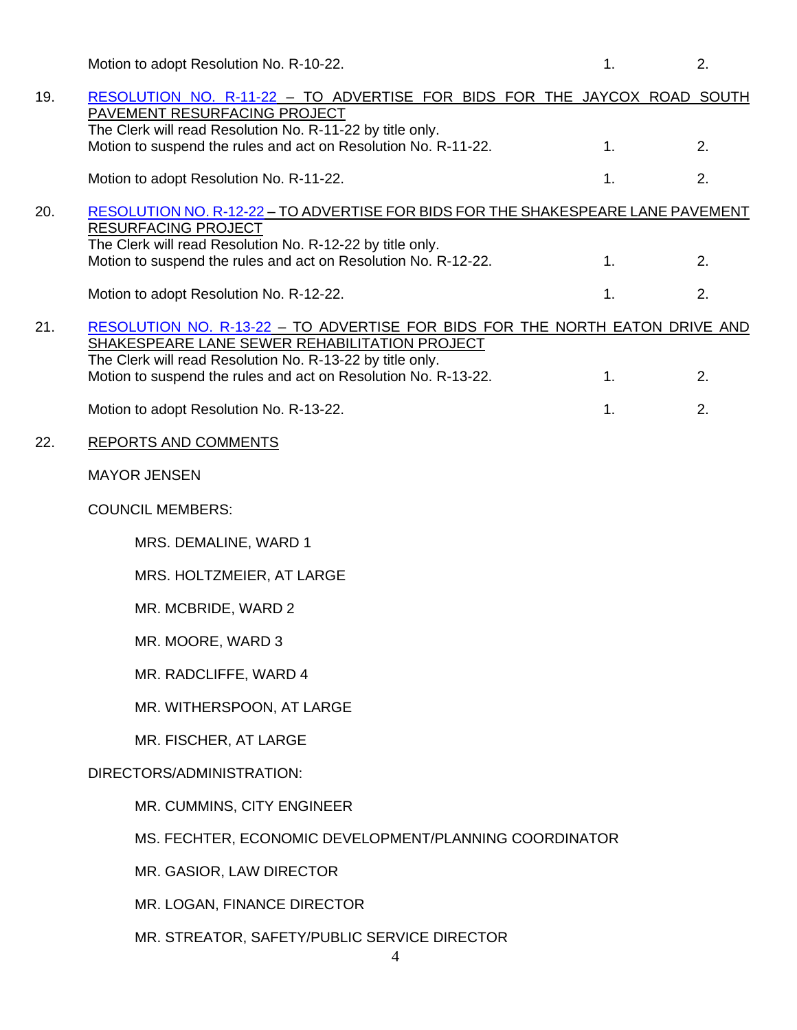|     | Motion to adopt Resolution No. R-10-22.                                                                                                                                                                                                                      | 1. | 2. |
|-----|--------------------------------------------------------------------------------------------------------------------------------------------------------------------------------------------------------------------------------------------------------------|----|----|
| 19. | RESOLUTION NO. R-11-22 - TO ADVERTISE FOR BIDS FOR THE JAYCOX ROAD SOUTH<br>PAVEMENT RESURFACING PROJECT                                                                                                                                                     |    |    |
|     | The Clerk will read Resolution No. R-11-22 by title only.<br>Motion to suspend the rules and act on Resolution No. R-11-22.                                                                                                                                  | 1. | 2. |
|     | Motion to adopt Resolution No. R-11-22.                                                                                                                                                                                                                      | 1. | 2. |
| 20. | RESOLUTION NO. R-12-22 - TO ADVERTISE FOR BIDS FOR THE SHAKESPEARE LANE PAVEMENT<br><b>RESURFACING PROJECT</b>                                                                                                                                               |    |    |
|     | The Clerk will read Resolution No. R-12-22 by title only.<br>Motion to suspend the rules and act on Resolution No. R-12-22.                                                                                                                                  | 1. | 2. |
|     | Motion to adopt Resolution No. R-12-22.                                                                                                                                                                                                                      | 1. | 2. |
| 21. | RESOLUTION NO. R-13-22 - TO ADVERTISE FOR BIDS FOR THE NORTH EATON DRIVE AND<br>SHAKESPEARE LANE SEWER REHABILITATION PROJECT<br>The Clerk will read Resolution No. R-13-22 by title only.<br>Motion to suspend the rules and act on Resolution No. R-13-22. | 1. | 2. |
|     | Motion to adopt Resolution No. R-13-22.                                                                                                                                                                                                                      | 1. | 2. |
| 22. | <b>REPORTS AND COMMENTS</b>                                                                                                                                                                                                                                  |    |    |
|     | <b>MAYOR JENSEN</b>                                                                                                                                                                                                                                          |    |    |
|     | <b>COUNCIL MEMBERS:</b>                                                                                                                                                                                                                                      |    |    |
|     | MRS. DEMALINE, WARD 1                                                                                                                                                                                                                                        |    |    |
|     | MRS. HOLTZMEIER, AT LARGE                                                                                                                                                                                                                                    |    |    |
|     | MR. MCBRIDE, WARD 2                                                                                                                                                                                                                                          |    |    |
|     | MR. MOORE, WARD 3                                                                                                                                                                                                                                            |    |    |
|     | MR. RADCLIFFE, WARD 4                                                                                                                                                                                                                                        |    |    |
|     | MR. WITHERSPOON, AT LARGE                                                                                                                                                                                                                                    |    |    |
|     | MR. FISCHER, AT LARGE                                                                                                                                                                                                                                        |    |    |
|     | DIRECTORS/ADMINISTRATION:                                                                                                                                                                                                                                    |    |    |
|     | MR. CUMMINS, CITY ENGINEER                                                                                                                                                                                                                                   |    |    |
|     | MS. FECHTER, ECONOMIC DEVELOPMENT/PLANNING COORDINATOR                                                                                                                                                                                                       |    |    |
|     | MR. GASIOR, LAW DIRECTOR                                                                                                                                                                                                                                     |    |    |
|     | MR. LOGAN, FINANCE DIRECTOR                                                                                                                                                                                                                                  |    |    |
|     | MR. STREATOR, SAFETY/PUBLIC SERVICE DIRECTOR<br>4                                                                                                                                                                                                            |    |    |